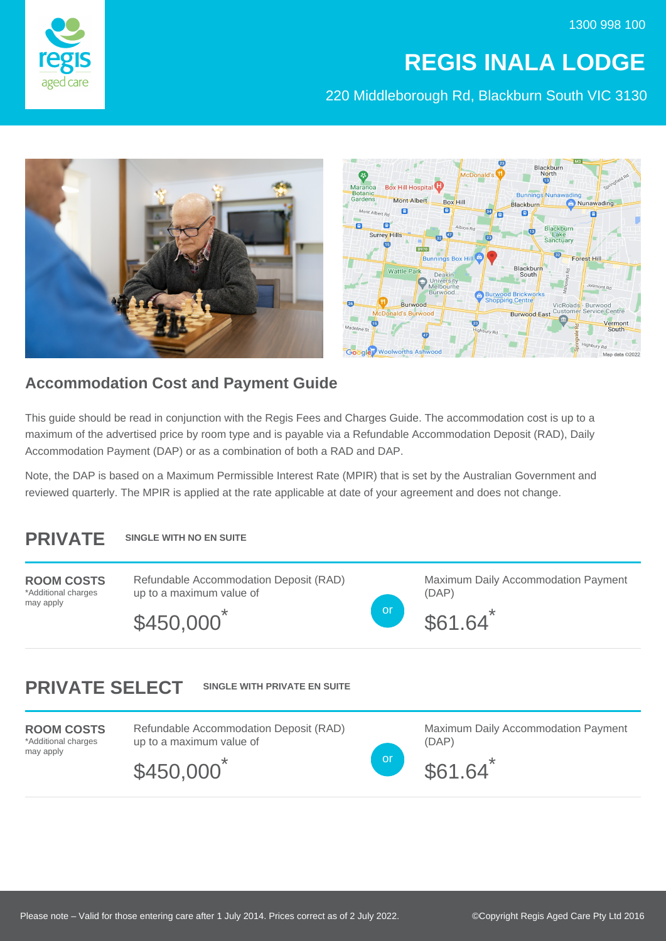1300 998 100



## **REGIS INALA LODGE**

220 Middleborough Rd, Blackburn South VIC 3130





## **Accommodation Cost and Payment Guide**

This guide should be read in conjunction with the Regis Fees and Charges Guide. The accommodation cost is up to a maximum of the advertised price by room type and is payable via a Refundable Accommodation Deposit (RAD), Daily Accommodation Payment (DAP) or as a combination of both a RAD and DAP.

Note, the DAP is based on a Maximum Permissible Interest Rate (MPIR) that is set by the Australian Government and reviewed quarterly. The MPIR is applied at the rate applicable at date of your agreement and does not change.

## **PRIVATE SINGLE WITH NO EN SUITE**